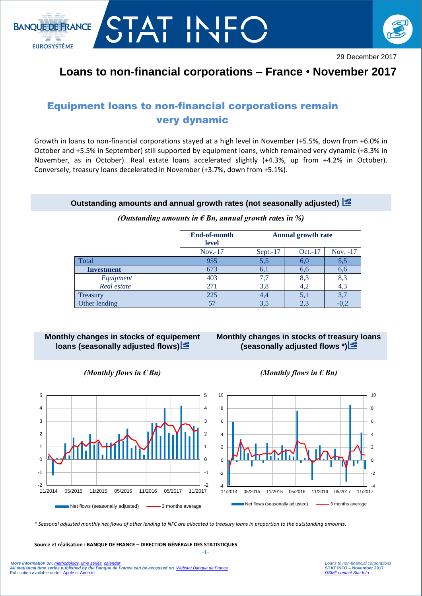



## **Loans to non-financial corporations – France** • **November 2017**

# Equipment loans to non-financial corporations remain very dynamic

Growth in loans to non-financial corporations stayed at a high level in November (+5.5%, down from +6.0% in October and +5.5% in September) still supported by equipment loans, which remained very dynamic (+8.3% in November, as in October). Real estate loans accelerated slightly (+4.3%, up from +4.2% in October). Conversely, treasury loans decelerated in November (+3.7%, down from +5.1%).

#### **Outstanding amounts and annual growth rates (not seasonally adjusted)**

|                   | End-of-month<br>level | <b>Annual growth rate</b> |         |          |
|-------------------|-----------------------|---------------------------|---------|----------|
|                   | $Nov. -17$            | Sept. $-17$               | Oct.-17 | Nov. -17 |
| Total             | 955                   | 5.5                       | 6,0     | 5,5      |
| <b>Investment</b> | 673                   | 6,                        | 6,6     | 6,6      |
| Equipment         | 403                   |                           | 8.3     | 8,3      |
| Real estate       | 271                   | 3.8                       | 4,2     | 4,3      |
| Treasury          | 225                   |                           | 5,1     |          |
| Other lending     | 57                    | 3.5                       | 2,3     |          |

#### *(Outstanding amounts in € Bn, annual growth rates in %)*

### **Monthly changes in stocks of equipement loans (seasonally adjusted flows)**

## **Monthly changes in stocks of treasury loans (seasonally adjusted flows \*)**







*\* Seasonal adjusted monthly net flows of other lending to NFC are allocated to treasury loans in proportion to the outstanding amounts.*

 -1- **Source et réalisation : BANQUE DE FRANCE – DIRECTION GÉNÉRALE DES STATISTIQUES**